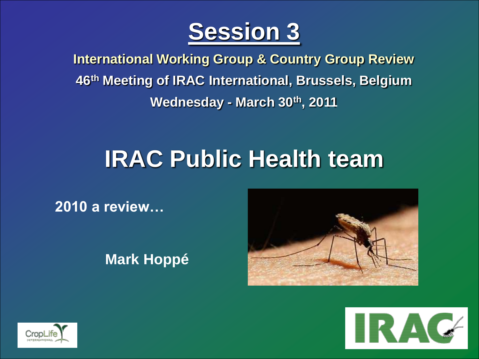

**Insecticide Resistance Action Committee International Working Group & Country Group Review 46th Meeting of IRAC International, Brussels, Belgium Wednesday - March 30th, 2011**

## **IRAC Public Health team**

**2010 a review…**

**Mark Hoppé**





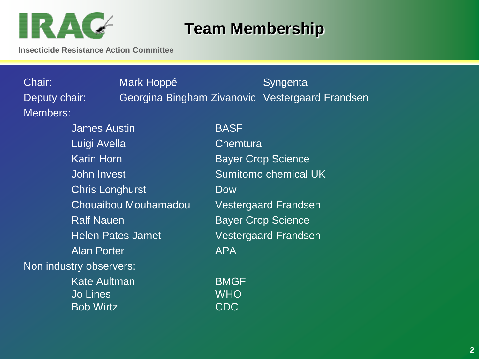

#### **Team Membership**

**Insecticide Resistance Action Committee**

Chair: Mark Hoppé Syngenta Deputy chair: Georgina Bingham Zivanovic Vestergaard Frandsen Members: James Austin BASF Luigi Avella **Chemtura** Karin Horn **Bayer Crop Science** John Invest Sumitomo chemical UK Chris Longhurst **Dow** Chouaibou Mouhamadou Vestergaard Frandsen Ralf Nauen **Bayer Crop Science** Helen Pates Jamet Vestergaard Frandsen Alan Porter **APA** Non industry observers: Kate Aultman BMGF Jo Lines WHO

Bob Wirtz CDC

**2**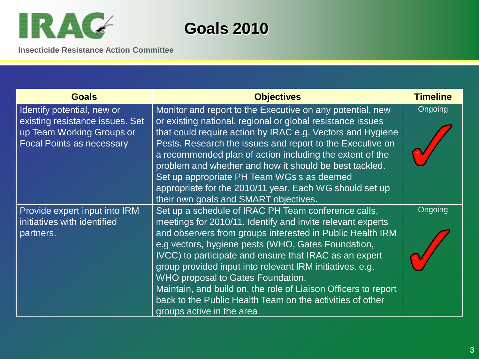

**Goals 2010**

| <b>Goals</b>                                                                                                                   | <b>Objectives</b>                                                                                                                                                                                                                                                                                                                                                                                                                                                                                                                                           | <b>Timeline</b> |
|--------------------------------------------------------------------------------------------------------------------------------|-------------------------------------------------------------------------------------------------------------------------------------------------------------------------------------------------------------------------------------------------------------------------------------------------------------------------------------------------------------------------------------------------------------------------------------------------------------------------------------------------------------------------------------------------------------|-----------------|
| Identify potential, new or<br>existing resistance issues. Set<br>up Team Working Groups or<br><b>Focal Points as necessary</b> | Monitor and report to the Executive on any potential, new<br>or existing national, regional or global resistance issues<br>that could require action by IRAC e.g. Vectors and Hygiene<br>Pests. Research the issues and report to the Executive on<br>a recommended plan of action including the extent of the<br>problem and whether and how it should be best tackled.<br>Set up appropriate PH Team WGs s as deemed<br>appropriate for the 2010/11 year. Each WG should set up<br>their own goals and SMART objectives.                                  | <b>Ongoing</b>  |
| Provide expert input into IRM<br>initiatives with identified<br>partners.                                                      | Set up a schedule of IRAC PH Team conference calls,<br>meetings for 2010/11. Identify and invite relevant experts<br>and observers from groups interested in Public Health IRM<br>e.g vectors, hygiene pests (WHO, Gates Foundation,<br>IVCC) to participate and ensure that IRAC as an expert<br>group provided input into relevant IRM initiatives. e.g.<br>WHO proposal to Gates Foundation.<br>Maintain, and build on, the role of Liaison Officers to report<br>back to the Public Health Team on the activities of other<br>groups active in the area | Ongoing         |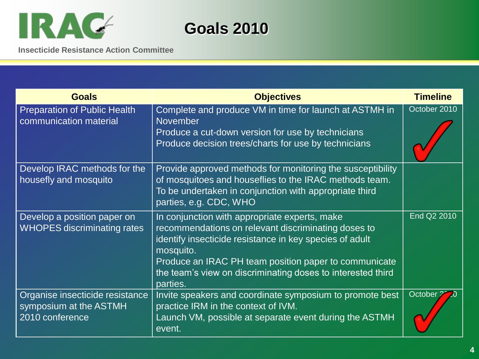

**Goals 2010**

| <b>Goals</b>                                                                 | <b>Objectives</b>                                                                                                                                                                                                                                                                                                | <b>Timeline</b> |
|------------------------------------------------------------------------------|------------------------------------------------------------------------------------------------------------------------------------------------------------------------------------------------------------------------------------------------------------------------------------------------------------------|-----------------|
| <b>Preparation of Public Health</b><br>communication material                | Complete and produce VM in time for launch at ASTMH in<br><b>November</b><br>Produce a cut-down version for use by technicians<br>Produce decision trees/charts for use by technicians                                                                                                                           | October 2010    |
| Develop IRAC methods for the<br>housefly and mosquito                        | Provide approved methods for monitoring the susceptibility<br>of mosquitoes and houseflies to the IRAC methods team.<br>To be undertaken in conjunction with appropriate third<br>parties, e.g. CDC, WHO                                                                                                         |                 |
| Develop a position paper on<br><b>WHOPES discriminating rates</b>            | In conjunction with appropriate experts, make<br>recommendations on relevant discriminating doses to<br>identify insecticide resistance in key species of adult<br>mosquito.<br>Produce an IRAC PH team position paper to communicate<br>the team's view on discriminating doses to interested third<br>parties. | End Q2 2010     |
| Organise insecticide resistance<br>symposium at the ASTMH<br>2010 conference | Invite speakers and coordinate symposium to promote best<br>practice IRM in the context of IVM.<br>Launch VM, possible at separate event during the ASTMH<br>event.                                                                                                                                              | October 2       |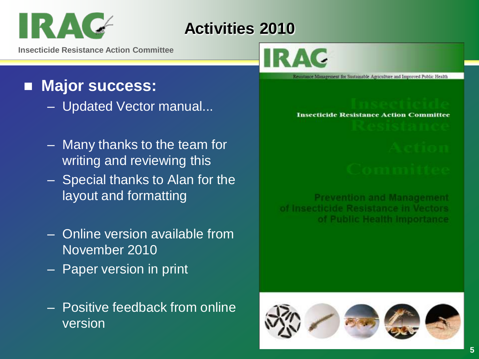# IRA

### **Activities 2010**

**Insecticide Resistance Action Committee**

#### **Major success:**

- Updated Vector manual...
- Many thanks to the team for writing and reviewing this
- Special thanks to Alan for the layout and formatting
- Online version available from November 2010
- Paper version in print
- Positive feedback from online version

Resistance Management for Sustainable Agriculture and Improved Public Health

#### **Insecticide Resistance Action Committee**

**Prevention and Management** of Insecticide Resistance in Vectors of Public Health Importance

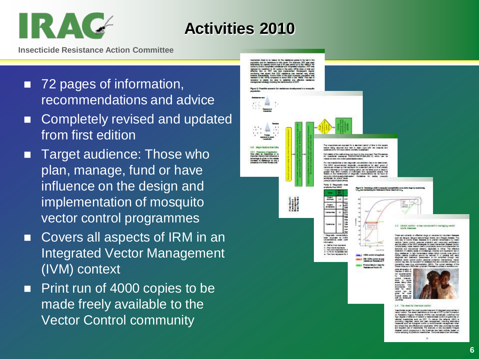# IR A

#### **Activities 2010**

- 72 pages of information, recommendations and advice
- Completely revised and updated from first edition
- Target audience: Those who plan, manage, fund or have influence on the design and implementation of mosquito vector control programmes
- Covers all aspects of IRM in an Integrated Vector Management (IVM) context
- **Print run of 4000 copies to be** made freely available to the Vector Control community

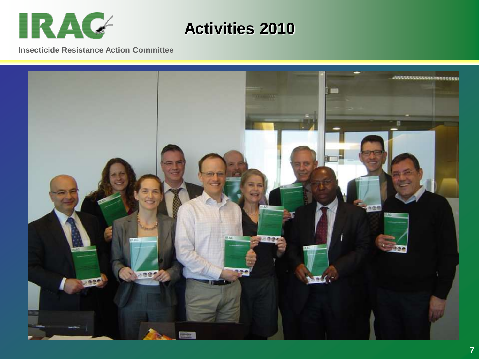

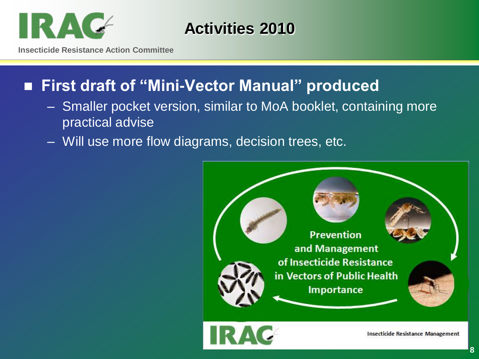

**Insecticide Resistance Action Committee**

#### **First draft of "Mini-Vector Manual" produced**

- Smaller pocket version, similar to MoA booklet, containing more practical advise
- Will use more flow diagrams, decision trees, etc.



**8**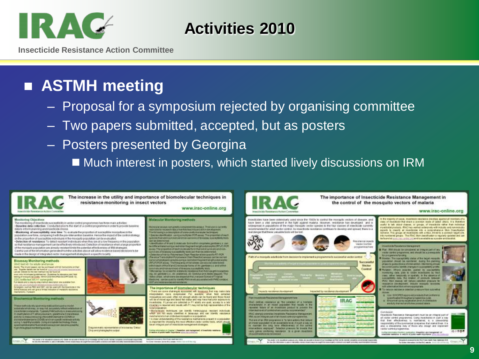## IR AC

#### **Activities 2010**

**Insecticide Resistance Action Committee**

### **ASTMH meeting**

- Proposal for a symposium rejected by organising committee
- Two papers submitted, accepted, but as posters
- Posters presented by Georgina
	- Much interest in posters, which started lively discussions on IRM

![](_page_8_Picture_8.jpeg)

To instant company with a first service stress this controls that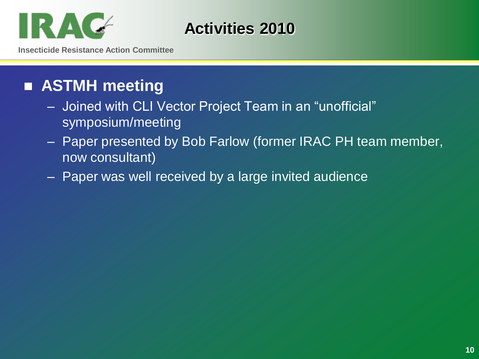![](_page_9_Picture_0.jpeg)

**Insecticide Resistance Action Committee**

### **ASTMH meeting**

- Joined with CLI Vector Project Team in an "unofficial" symposium/meeting
- Paper presented by Bob Farlow (former IRAC PH team member, now consultant)
- Paper was well received by a large invited audience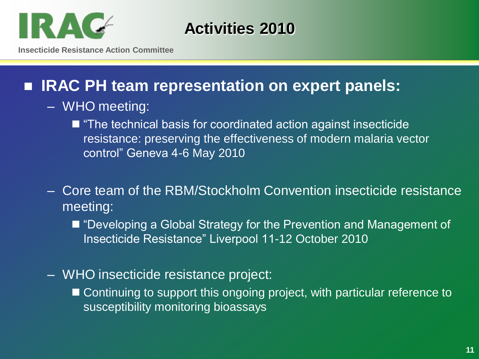![](_page_10_Picture_0.jpeg)

**Insecticide Resistance Action Committee**

#### ■ **IRAC PH team representation on expert panels:**

- WHO meeting:
	- "The technical basis for coordinated action against insecticide resistance: preserving the effectiveness of modern malaria vector control" Geneva 4-6 May 2010
- Core team of the RBM/Stockholm Convention insecticide resistance meeting:
	- "Developing a Global Strategy for the Prevention and Management of Insecticide Resistance" Liverpool 11-12 October 2010
- WHO insecticide resistance project:
	- Continuing to support this ongoing project, with particular reference to susceptibility monitoring bioassays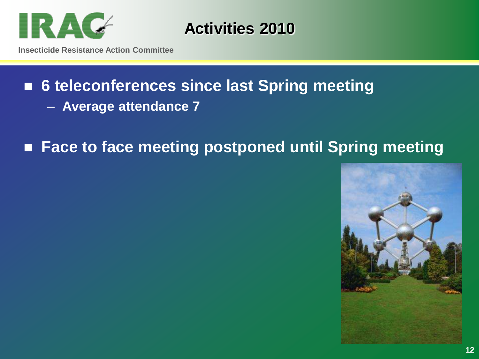![](_page_11_Picture_0.jpeg)

## ■ 6 teleconferences since last Spring meeting

– **Average attendance 7**

### ■ Face to face meeting postponed until Spring meeting

![](_page_11_Picture_5.jpeg)